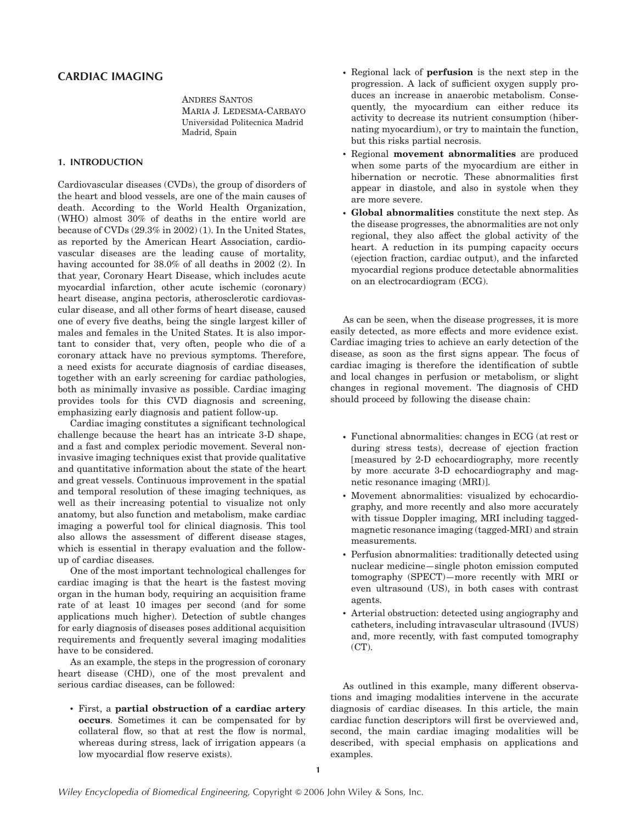# CARDIAC IMAGING

ANDRES SANTOS MARIA J. LEDESMA-CARBAYO Universidad Politecnica Madrid Madrid, Spain

## 1. INTRODUCTION

Cardiovascular diseases (CVDs), the group of disorders of the heart and blood vessels, are one of the main causes of death. According to the World Health Organization, (WHO) almost 30% of deaths in the entire world are because of CVDs (29.3% in 2002) (1). In the United States, as reported by the American Heart Association, cardiovascular diseases are the leading cause of mortality, having accounted for 38.0% of all deaths in 2002 (2). In that year, Coronary Heart Disease, which includes acute myocardial infarction, other acute ischemic (coronary) heart disease, angina pectoris, atherosclerotic cardiovascular disease, and all other forms of heart disease, caused one of every five deaths, being the single largest killer of males and females in the United States. It is also important to consider that, very often, people who die of a coronary attack have no previous symptoms. Therefore, a need exists for accurate diagnosis of cardiac diseases, together with an early screening for cardiac pathologies, both as minimally invasive as possible. Cardiac imaging provides tools for this CVD diagnosis and screening, emphasizing early diagnosis and patient follow-up.

Cardiac imaging constitutes a significant technological challenge because the heart has an intricate 3-D shape, and a fast and complex periodic movement. Several noninvasive imaging techniques exist that provide qualitative and quantitative information about the state of the heart and great vessels. Continuous improvement in the spatial and temporal resolution of these imaging techniques, as well as their increasing potential to visualize not only anatomy, but also function and metabolism, make cardiac imaging a powerful tool for clinical diagnosis. This tool also allows the assessment of different disease stages, which is essential in therapy evaluation and the followup of cardiac diseases.

One of the most important technological challenges for cardiac imaging is that the heart is the fastest moving organ in the human body, requiring an acquisition frame rate of at least 10 images per second (and for some applications much higher). Detection of subtle changes for early diagnosis of diseases poses additional acquisition requirements and frequently several imaging modalities have to be considered.

As an example, the steps in the progression of coronary heart disease (CHD), one of the most prevalent and serious cardiac diseases, can be followed:

\* First, a partial obstruction of a cardiac artery occurs. Sometimes it can be compensated for by collateral flow, so that at rest the flow is normal, whereas during stress, lack of irrigation appears (a low myocardial flow reserve exists).

- \* Regional lack of perfusion is the next step in the progression. A lack of sufficient oxygen supply produces an increase in anaerobic metabolism. Consequently, the myocardium can either reduce its activity to decrease its nutrient consumption (hibernating myocardium), or try to maintain the function, but this risks partial necrosis.
- \* Regional movement abnormalities are produced when some parts of the myocardium are either in hibernation or necrotic. These abnormalities first appear in diastole, and also in systole when they are more severe.
- \* Global abnormalities constitute the next step. As the disease progresses, the abnormalities are not only regional, they also affect the global activity of the heart. A reduction in its pumping capacity occurs (ejection fraction, cardiac output), and the infarcted myocardial regions produce detectable abnormalities on an electrocardiogram (ECG).

As can be seen, when the disease progresses, it is more easily detected, as more effects and more evidence exist. Cardiac imaging tries to achieve an early detection of the disease, as soon as the first signs appear. The focus of cardiac imaging is therefore the identification of subtle and local changes in perfusion or metabolism, or slight changes in regional movement. The diagnosis of CHD should proceed by following the disease chain:

- \* Functional abnormalities: changes in ECG (at rest or during stress tests), decrease of ejection fraction [measured by 2-D echocardiography, more recently by more accurate 3-D echocardiography and magnetic resonance imaging (MRI)].
- \* Movement abnormalities: visualized by echocardiography, and more recently and also more accurately with tissue Doppler imaging, MRI including taggedmagnetic resonance imaging (tagged-MRI) and strain measurements.
- \* Perfusion abnormalities: traditionally detected using nuclear medicine—single photon emission computed tomography (SPECT)—more recently with MRI or even ultrasound (US), in both cases with contrast agents.
- \* Arterial obstruction: detected using angiography and catheters, including intravascular ultrasound (IVUS) and, more recently, with fast computed tomography (CT).

As outlined in this example, many different observations and imaging modalities intervene in the accurate diagnosis of cardiac diseases. In this article, the main cardiac function descriptors will first be overviewed and, second, the main cardiac imaging modalities will be described, with special emphasis on applications and examples.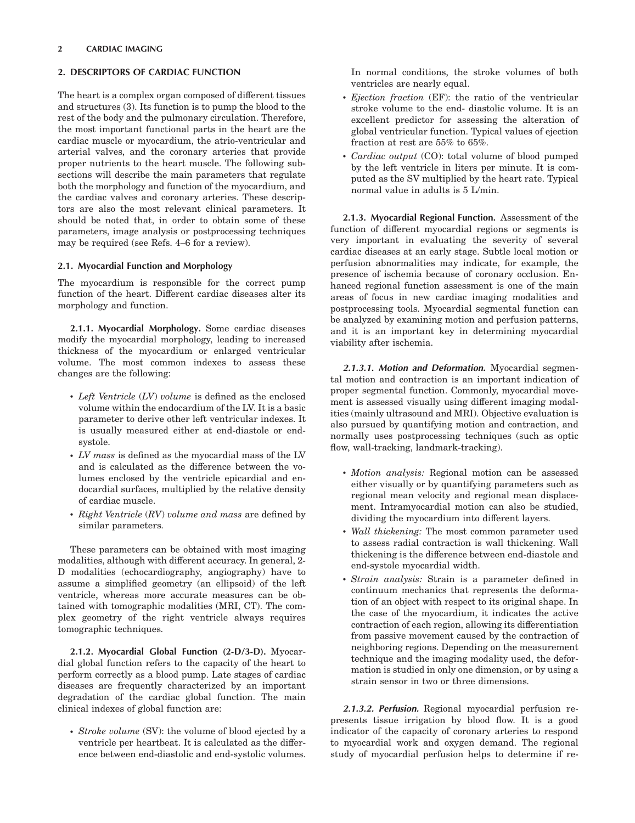### 2 CARDIAC IMAGING

## 2. DESCRIPTORS OF CARDIAC FUNCTION

The heart is a complex organ composed of different tissues and structures (3). Its function is to pump the blood to the rest of the body and the pulmonary circulation. Therefore, the most important functional parts in the heart are the cardiac muscle or myocardium, the atrio-ventricular and arterial valves, and the coronary arteries that provide proper nutrients to the heart muscle. The following subsections will describe the main parameters that regulate both the morphology and function of the myocardium, and the cardiac valves and coronary arteries. These descriptors are also the most relevant clinical parameters. It should be noted that, in order to obtain some of these parameters, image analysis or postprocessing techniques may be required (see Refs. 4–6 for a review).

### 2.1. Myocardial Function and Morphology

The myocardium is responsible for the correct pump function of the heart. Different cardiac diseases alter its morphology and function.

2.1.1. Myocardial Morphology. Some cardiac diseases modify the myocardial morphology, leading to increased thickness of the myocardium or enlarged ventricular volume. The most common indexes to assess these changes are the following:

- $\cdot$  *Left Ventricle (LV) volume is defined as the enclosed* volume within the endocardium of the LV. It is a basic parameter to derive other left ventricular indexes. It is usually measured either at end-diastole or endsystole.
- $\cdot$  LV mass is defined as the myocardial mass of the LV and is calculated as the difference between the volumes enclosed by the ventricle epicardial and endocardial surfaces, multiplied by the relative density of cardiac muscle.
- $\bullet$  Right Ventricle (RV) volume and mass are defined by similar parameters.

These parameters can be obtained with most imaging modalities, although with different accuracy. In general, 2- D modalities (echocardiography, angiography) have to assume a simplified geometry (an ellipsoid) of the left ventricle, whereas more accurate measures can be obtained with tomographic modalities (MRI, CT). The complex geometry of the right ventricle always requires tomographic techniques.

2.1.2. Myocardial Global Function (2-D/3-D). Myocardial global function refers to the capacity of the heart to perform correctly as a blood pump. Late stages of cardiac diseases are frequently characterized by an important degradation of the cardiac global function. The main clinical indexes of global function are:

• Stroke volume (SV): the volume of blood ejected by a ventricle per heartbeat. It is calculated as the difference between end-diastolic and end-systolic volumes.

In normal conditions, the stroke volumes of both ventricles are nearly equal.

- \* Ejection fraction (EF): the ratio of the ventricular stroke volume to the end- diastolic volume. It is an excellent predictor for assessing the alteration of global ventricular function. Typical values of ejection fraction at rest are 55% to 65%.
- \* Cardiac output (CO): total volume of blood pumped by the left ventricle in liters per minute. It is computed as the SV multiplied by the heart rate. Typical normal value in adults is 5 L/min.

2.1.3. Myocardial Regional Function. Assessment of the function of different myocardial regions or segments is very important in evaluating the severity of several cardiac diseases at an early stage. Subtle local motion or perfusion abnormalities may indicate, for example, the presence of ischemia because of coronary occlusion. Enhanced regional function assessment is one of the main areas of focus in new cardiac imaging modalities and postprocessing tools. Myocardial segmental function can be analyzed by examining motion and perfusion patterns, and it is an important key in determining myocardial viability after ischemia.

2.1.3.1. Motion and Deformation. Myocardial segmental motion and contraction is an important indication of proper segmental function. Commonly, myocardial movement is assessed visually using different imaging modalities (mainly ultrasound and MRI). Objective evaluation is also pursued by quantifying motion and contraction, and normally uses postprocessing techniques (such as optic flow, wall-tracking, landmark-tracking).

- \* Motion analysis: Regional motion can be assessed either visually or by quantifying parameters such as regional mean velocity and regional mean displacement. Intramyocardial motion can also be studied, dividing the myocardium into different layers.
- \* Wall thickening: The most common parameter used to assess radial contraction is wall thickening. Wall thickening is the difference between end-diastole and end-systole myocardial width.
- \* Strain analysis: Strain is a parameter defined in continuum mechanics that represents the deformation of an object with respect to its original shape. In the case of the myocardium, it indicates the active contraction of each region, allowing its differentiation from passive movement caused by the contraction of neighboring regions. Depending on the measurement technique and the imaging modality used, the deformation is studied in only one dimension, or by using a strain sensor in two or three dimensions.

2.1.3.2. Perfusion. Regional myocardial perfusion represents tissue irrigation by blood flow. It is a good indicator of the capacity of coronary arteries to respond to myocardial work and oxygen demand. The regional study of myocardial perfusion helps to determine if re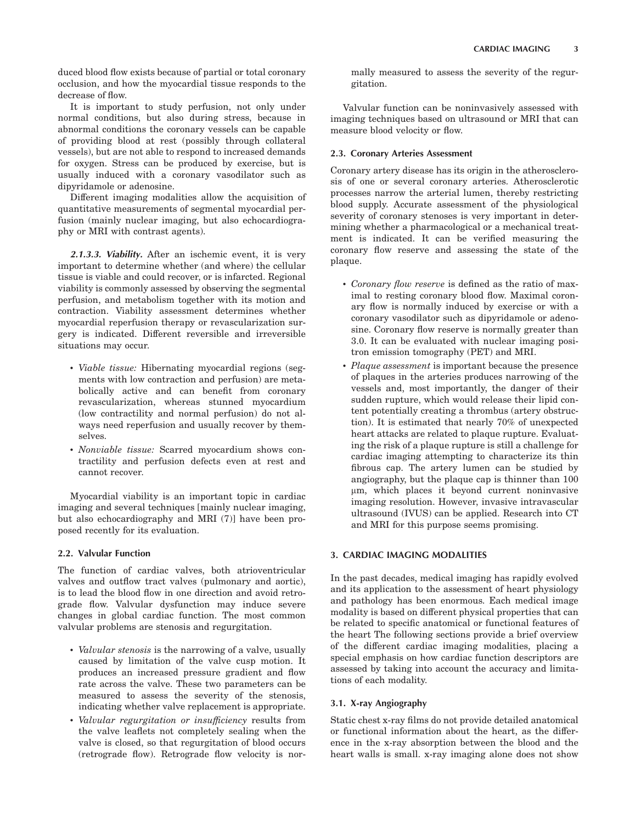duced blood flow exists because of partial or total coronary occlusion, and how the myocardial tissue responds to the decrease of flow.

It is important to study perfusion, not only under normal conditions, but also during stress, because in abnormal conditions the coronary vessels can be capable of providing blood at rest (possibly through collateral vessels), but are not able to respond to increased demands for oxygen. Stress can be produced by exercise, but is usually induced with a coronary vasodilator such as dipyridamole or adenosine.

Different imaging modalities allow the acquisition of quantitative measurements of segmental myocardial perfusion (mainly nuclear imaging, but also echocardiography or MRI with contrast agents).

2.1.3.3. Viability. After an ischemic event, it is very important to determine whether (and where) the cellular tissue is viable and could recover, or is infarcted. Regional viability is commonly assessed by observing the segmental perfusion, and metabolism together with its motion and contraction. Viability assessment determines whether myocardial reperfusion therapy or revascularization surgery is indicated. Different reversible and irreversible situations may occur.

- \* Viable tissue: Hibernating myocardial regions (segments with low contraction and perfusion) are metabolically active and can benefit from coronary revascularization, whereas stunned myocardium (low contractility and normal perfusion) do not always need reperfusion and usually recover by themselves.
- \* Nonviable tissue: Scarred myocardium shows contractility and perfusion defects even at rest and cannot recover.

Myocardial viability is an important topic in cardiac imaging and several techniques [mainly nuclear imaging, but also echocardiography and MRI (7)] have been proposed recently for its evaluation.

## 2.2. Valvular Function

The function of cardiac valves, both atrioventricular valves and outflow tract valves (pulmonary and aortic), is to lead the blood flow in one direction and avoid retrograde flow. Valvular dysfunction may induce severe changes in global cardiac function. The most common valvular problems are stenosis and regurgitation.

- *Valvular stenosis* is the narrowing of a valve, usually caused by limitation of the valve cusp motion. It produces an increased pressure gradient and flow rate across the valve. These two parameters can be measured to assess the severity of the stenosis, indicating whether valve replacement is appropriate.
- Valvular regurgitation or insufficiency results from the valve leaflets not completely sealing when the valve is closed, so that regurgitation of blood occurs (retrograde flow). Retrograde flow velocity is nor-

mally measured to assess the severity of the regurgitation.

Valvular function can be noninvasively assessed with imaging techniques based on ultrasound or MRI that can measure blood velocity or flow.

### 2.3. Coronary Arteries Assessment

Coronary artery disease has its origin in the atherosclerosis of one or several coronary arteries. Atherosclerotic processes narrow the arterial lumen, thereby restricting blood supply. Accurate assessment of the physiological severity of coronary stenoses is very important in determining whether a pharmacological or a mechanical treatment is indicated. It can be verified measuring the coronary flow reserve and assessing the state of the plaque.

- \* Coronary flow reserve is defined as the ratio of maximal to resting coronary blood flow. Maximal coronary flow is normally induced by exercise or with a coronary vasodilator such as dipyridamole or adenosine. Coronary flow reserve is normally greater than 3.0. It can be evaluated with nuclear imaging positron emission tomography (PET) and MRI.
- \* Plaque assessment is important because the presence of plaques in the arteries produces narrowing of the vessels and, most importantly, the danger of their sudden rupture, which would release their lipid content potentially creating a thrombus (artery obstruction). It is estimated that nearly 70% of unexpected heart attacks are related to plaque rupture. Evaluating the risk of a plaque rupture is still a challenge for cardiac imaging attempting to characterize its thin fibrous cap. The artery lumen can be studied by angiography, but the plaque cap is thinner than 100 *m*m, which places it beyond current noninvasive imaging resolution. However, invasive intravascular ultrasound (IVUS) can be applied. Research into CT and MRI for this purpose seems promising.

### 3. CARDIAC IMAGING MODALITIES

In the past decades, medical imaging has rapidly evolved and its application to the assessment of heart physiology and pathology has been enormous. Each medical image modality is based on different physical properties that can be related to specific anatomical or functional features of the heart The following sections provide a brief overview of the different cardiac imaging modalities, placing a special emphasis on how cardiac function descriptors are assessed by taking into account the accuracy and limitations of each modality.

### 3.1. X-ray Angiography

Static chest x-ray films do not provide detailed anatomical or functional information about the heart, as the difference in the x-ray absorption between the blood and the heart walls is small. x-ray imaging alone does not show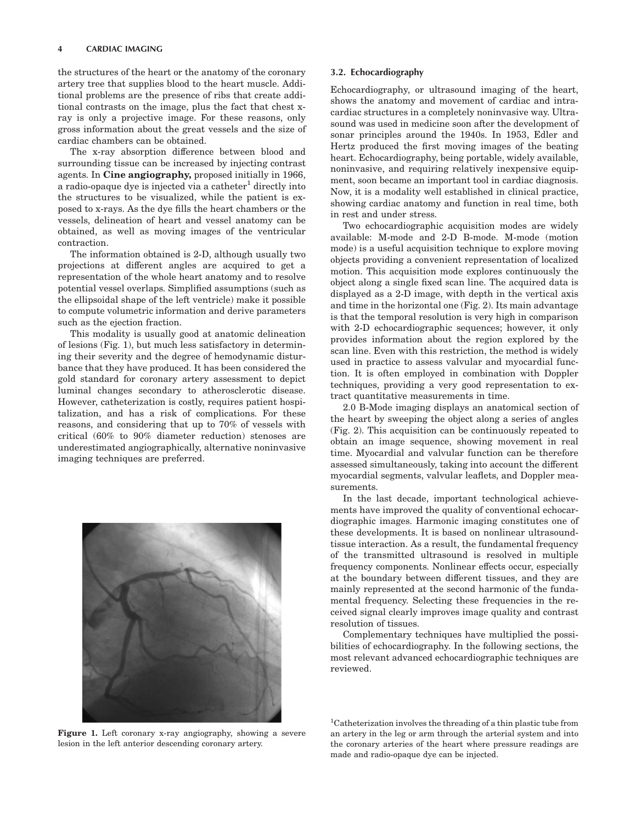the structures of the heart or the anatomy of the coronary artery tree that supplies blood to the heart muscle. Additional problems are the presence of ribs that create additional contrasts on the image, plus the fact that chest xray is only a projective image. For these reasons, only gross information about the great vessels and the size of cardiac chambers can be obtained.

The x-ray absorption difference between blood and surrounding tissue can be increased by injecting contrast agents. In Cine angiography, proposed initially in 1966, a radio-opaque dye is injected via a catheter<sup>1</sup> directly into the structures to be visualized, while the patient is exposed to x-rays. As the dye fills the heart chambers or the vessels, delineation of heart and vessel anatomy can be obtained, as well as moving images of the ventricular contraction.

The information obtained is 2-D, although usually two projections at different angles are acquired to get a representation of the whole heart anatomy and to resolve potential vessel overlaps. Simplified assumptions (such as the ellipsoidal shape of the left ventricle) make it possible to compute volumetric information and derive parameters such as the ejection fraction.

This modality is usually good at anatomic delineation of lesions (Fig. 1), but much less satisfactory in determining their severity and the degree of hemodynamic disturbance that they have produced. It has been considered the gold standard for coronary artery assessment to depict luminal changes secondary to atherosclerotic disease. However, catheterization is costly, requires patient hospitalization, and has a risk of complications. For these reasons, and considering that up to 70% of vessels with critical (60% to 90% diameter reduction) stenoses are underestimated angiographically, alternative noninvasive imaging techniques are preferred.



Figure 1. Left coronary x-ray angiography, showing a severe lesion in the left anterior descending coronary artery.

#### 3.2. Echocardiography

Echocardiography, or ultrasound imaging of the heart, shows the anatomy and movement of cardiac and intracardiac structures in a completely noninvasive way. Ultrasound was used in medicine soon after the development of sonar principles around the 1940s. In 1953, Edler and Hertz produced the first moving images of the beating heart. Echocardiography, being portable, widely available, noninvasive, and requiring relatively inexpensive equipment, soon became an important tool in cardiac diagnosis. Now, it is a modality well established in clinical practice, showing cardiac anatomy and function in real time, both in rest and under stress.

Two echocardiographic acquisition modes are widely available: M-mode and 2-D B-mode. M-mode (motion mode) is a useful acquisition technique to explore moving objects providing a convenient representation of localized motion. This acquisition mode explores continuously the object along a single fixed scan line. The acquired data is displayed as a 2-D image, with depth in the vertical axis and time in the horizontal one (Fig. 2). Its main advantage is that the temporal resolution is very high in comparison with 2-D echocardiographic sequences; however, it only provides information about the region explored by the scan line. Even with this restriction, the method is widely used in practice to assess valvular and myocardial function. It is often employed in combination with Doppler techniques, providing a very good representation to extract quantitative measurements in time.

2.0 B-Mode imaging displays an anatomical section of the heart by sweeping the object along a series of angles (Fig. 2). This acquisition can be continuously repeated to obtain an image sequence, showing movement in real time. Myocardial and valvular function can be therefore assessed simultaneously, taking into account the different myocardial segments, valvular leaflets, and Doppler measurements.

In the last decade, important technological achievements have improved the quality of conventional echocardiographic images. Harmonic imaging constitutes one of these developments. It is based on nonlinear ultrasoundtissue interaction. As a result, the fundamental frequency of the transmitted ultrasound is resolved in multiple frequency components. Nonlinear effects occur, especially at the boundary between different tissues, and they are mainly represented at the second harmonic of the fundamental frequency. Selecting these frequencies in the received signal clearly improves image quality and contrast resolution of tissues.

Complementary techniques have multiplied the possibilities of echocardiography. In the following sections, the most relevant advanced echocardiographic techniques are reviewed.

<sup>1</sup>Catheterization involves the threading of a thin plastic tube from an artery in the leg or arm through the arterial system and into the coronary arteries of the heart where pressure readings are made and radio-opaque dye can be injected.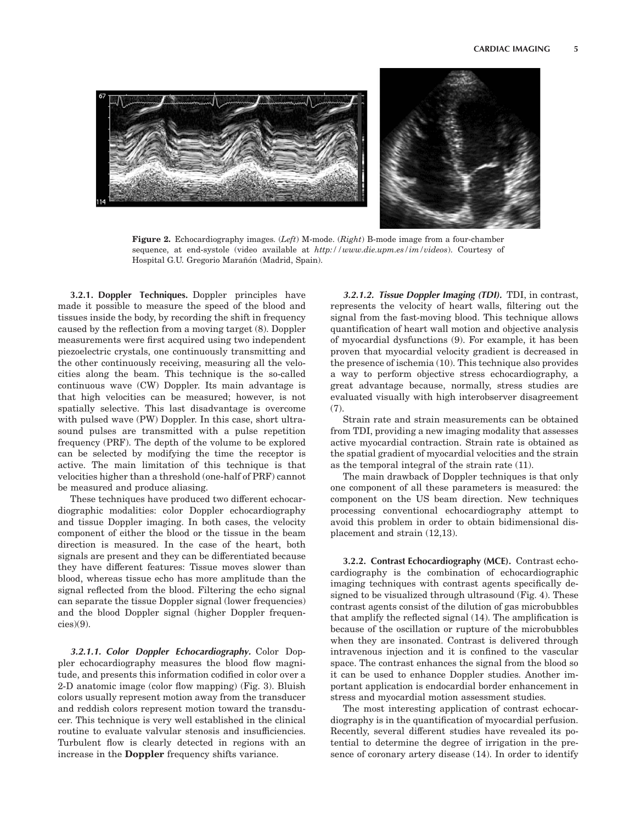

Figure 2. Echocardiography images.  $(Left)$  M-mode.  $(Right)$  B-mode image from a four-chamber sequence, at end-systole (video available at http://www.die.upm.es/im/videos). Courtesy of Hospital G.U. Gregorio Marañón (Madrid, Spain).

3.2.1. Doppler Techniques. Doppler principles have made it possible to measure the speed of the blood and tissues inside the body, by recording the shift in frequency caused by the reflection from a moving target (8). Doppler measurements were first acquired using two independent piezoelectric crystals, one continuously transmitting and the other continuously receiving, measuring all the velocities along the beam. This technique is the so-called continuous wave (CW) Doppler. Its main advantage is that high velocities can be measured; however, is not spatially selective. This last disadvantage is overcome with pulsed wave (PW) Doppler. In this case, short ultrasound pulses are transmitted with a pulse repetition frequency (PRF). The depth of the volume to be explored can be selected by modifying the time the receptor is active. The main limitation of this technique is that velocities higher than a threshold (one-half of PRF) cannot be measured and produce aliasing.

These techniques have produced two different echocardiographic modalities: color Doppler echocardiography and tissue Doppler imaging. In both cases, the velocity component of either the blood or the tissue in the beam direction is measured. In the case of the heart, both signals are present and they can be differentiated because they have different features: Tissue moves slower than blood, whereas tissue echo has more amplitude than the signal reflected from the blood. Filtering the echo signal can separate the tissue Doppler signal (lower frequencies) and the blood Doppler signal (higher Doppler frequen $cies(9)$ .

3.2.1.1. Color Doppler Echocardiography. Color Doppler echocardiography measures the blood flow magnitude, and presents this information codified in color over a 2-D anatomic image (color flow mapping) (Fig. 3). Bluish colors usually represent motion away from the transducer and reddish colors represent motion toward the transducer. This technique is very well established in the clinical routine to evaluate valvular stenosis and insufficiencies. Turbulent flow is clearly detected in regions with an increase in the Doppler frequency shifts variance.

3.2.1.2. Tissue Doppler Imaging (TDI). TDI, in contrast, represents the velocity of heart walls, filtering out the signal from the fast-moving blood. This technique allows quantification of heart wall motion and objective analysis of myocardial dysfunctions (9). For example, it has been proven that myocardial velocity gradient is decreased in the presence of ischemia (10). This technique also provides a way to perform objective stress echocardiography, a great advantage because, normally, stress studies are evaluated visually with high interobserver disagreement (7).

Strain rate and strain measurements can be obtained from TDI, providing a new imaging modality that assesses active myocardial contraction. Strain rate is obtained as the spatial gradient of myocardial velocities and the strain as the temporal integral of the strain rate (11).

The main drawback of Doppler techniques is that only one component of all these parameters is measured: the component on the US beam direction. New techniques processing conventional echocardiography attempt to avoid this problem in order to obtain bidimensional displacement and strain (12,13).

3.2.2. Contrast Echocardiography (MCE). Contrast echocardiography is the combination of echocardiographic imaging techniques with contrast agents specifically designed to be visualized through ultrasound (Fig. 4). These contrast agents consist of the dilution of gas microbubbles that amplify the reflected signal (14). The amplification is because of the oscillation or rupture of the microbubbles when they are insonated. Contrast is delivered through intravenous injection and it is confined to the vascular space. The contrast enhances the signal from the blood so it can be used to enhance Doppler studies. Another important application is endocardial border enhancement in stress and myocardial motion assessment studies.

The most interesting application of contrast echocardiography is in the quantification of myocardial perfusion. Recently, several different studies have revealed its potential to determine the degree of irrigation in the presence of coronary artery disease (14). In order to identify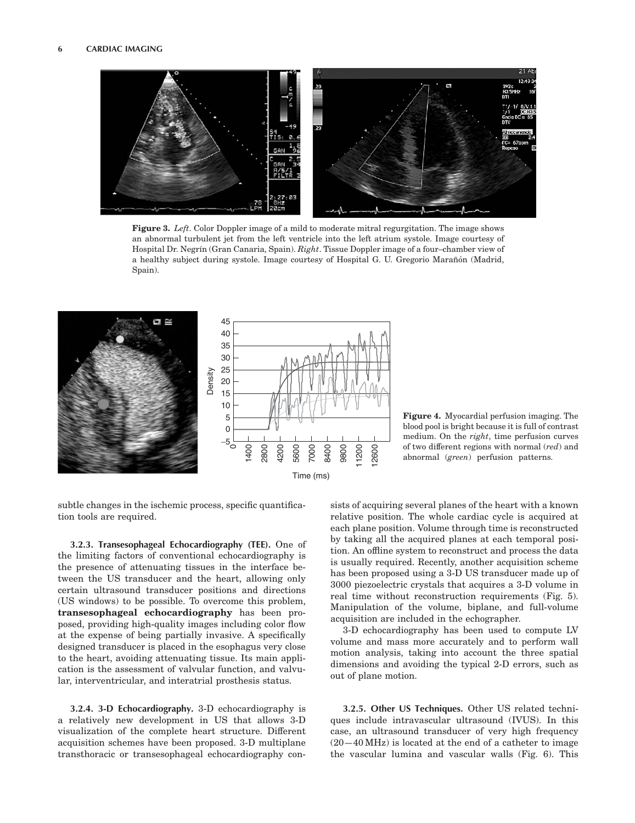

Figure 3. Left. Color Doppler image of a mild to moderate mitral regurgitation. The image shows an abnormal turbulent jet from the left ventricle into the left atrium systole. Image courtesy of Hospital Dr. Negrín (Gran Canaria, Spain). Right. Tissue Doppler image of a four-chamber view of a healthy subject during systole. Image courtesy of Hospital G. U. Gregorio Marañón (Madrid, Spain).



Figure 4. Myocardial perfusion imaging. The blood pool is bright because it is full of contrast medium. On the right, time perfusion curves of two different regions with normal (red) and abnormal (green) perfusion patterns.

subtle changes in the ischemic process, specific quantification tools are required.

3.2.3. Transesophageal Echocardiography (TEE). One of the limiting factors of conventional echocardiography is the presence of attenuating tissues in the interface between the US transducer and the heart, allowing only certain ultrasound transducer positions and directions (US windows) to be possible. To overcome this problem, transesophageal echocardiography has been proposed, providing high-quality images including color flow at the expense of being partially invasive. A specifically designed transducer is placed in the esophagus very close to the heart, avoiding attenuating tissue. Its main application is the assessment of valvular function, and valvular, interventricular, and interatrial prosthesis status.

3.2.4. 3-D Echocardiography. 3-D echocardiography is a relatively new development in US that allows 3-D visualization of the complete heart structure. Different acquisition schemes have been proposed. 3-D multiplane transthoracic or transesophageal echocardiography consists of acquiring several planes of the heart with a known relative position. The whole cardiac cycle is acquired at each plane position. Volume through time is reconstructed by taking all the acquired planes at each temporal position. An offline system to reconstruct and process the data is usually required. Recently, another acquisition scheme has been proposed using a 3-D US transducer made up of 3000 piezoelectric crystals that acquires a 3-D volume in real time without reconstruction requirements (Fig. 5). Manipulation of the volume, biplane, and full-volume acquisition are included in the echographer.

3-D echocardiography has been used to compute LV volume and mass more accurately and to perform wall motion analysis, taking into account the three spatial dimensions and avoiding the typical 2-D errors, such as out of plane motion.

3.2.5. Other US Techniques. Other US related techniques include intravascular ultrasound (IVUS). In this case, an ultrasound transducer of very high frequency  $(20-40 \text{ MHz})$  is located at the end of a catheter to image the vascular lumina and vascular walls (Fig. 6). This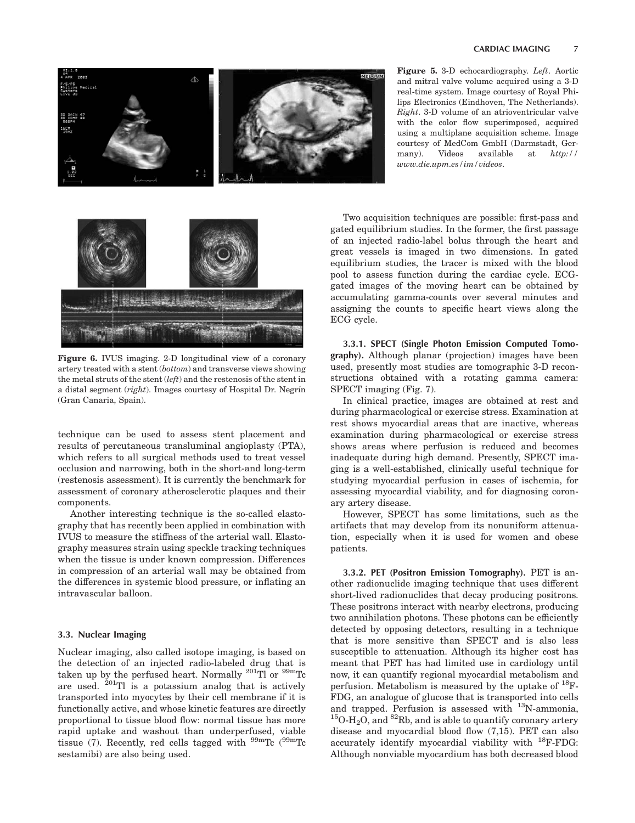

Figure 5. 3-D echocardiography. Left. Aortic and mitral valve volume acquired using a 3-D real-time system. Image courtesy of Royal Philips Electronics (Eindhoven, The Netherlands). Right. 3-D volume of an atrioventricular valve with the color flow superimposed, acquired using a multiplane acquisition scheme. Image courtesy of MedCom GmbH (Darmstadt, Germany). Videos available at http:// www.die.upm.es/im/videos.



Figure 6. IVUS imaging. 2-D longitudinal view of a coronary artery treated with a stent (bottom) and transverse views showing the metal struts of the stent (left) and the restenosis of the stent in a distal segment  $(right)$ . Images courtesy of Hospital Dr. Negrín (Gran Canaria, Spain).

technique can be used to assess stent placement and results of percutaneous transluminal angioplasty (PTA), which refers to all surgical methods used to treat vessel occlusion and narrowing, both in the short-and long-term (restenosis assessment). It is currently the benchmark for assessment of coronary atherosclerotic plaques and their components.

Another interesting technique is the so-called elastography that has recently been applied in combination with IVUS to measure the stiffness of the arterial wall. Elastography measures strain using speckle tracking techniques when the tissue is under known compression. Differences in compression of an arterial wall may be obtained from the differences in systemic blood pressure, or inflating an intravascular balloon.

## 3.3. Nuclear Imaging

Nuclear imaging, also called isotope imaging, is based on the detection of an injected radio-labeled drug that is taken up by the perfused heart. Normally  $^{201}\text{Ti}$  or  $^{99\text{m}}\text{Tc}$ are used.  $^{201}$ Tl is a potassium analog that is actively transported into myocytes by their cell membrane if it is functionally active, and whose kinetic features are directly proportional to tissue blood flow: normal tissue has more rapid uptake and washout than underperfused, viable tissue (7). Recently, red cells tagged with  $^{99m}$ Tc ( $^{99m}$ Tc sestamibi) are also being used.

Two acquisition techniques are possible: first-pass and gated equilibrium studies. In the former, the first passage of an injected radio-label bolus through the heart and great vessels is imaged in two dimensions. In gated equilibrium studies, the tracer is mixed with the blood pool to assess function during the cardiac cycle. ECGgated images of the moving heart can be obtained by accumulating gamma-counts over several minutes and assigning the counts to specific heart views along the ECG cycle.

3.3.1. SPECT (Single Photon Emission Computed Tomography). Although planar (projection) images have been used, presently most studies are tomographic 3-D reconstructions obtained with a rotating gamma camera: SPECT imaging (Fig. 7).

In clinical practice, images are obtained at rest and during pharmacological or exercise stress. Examination at rest shows myocardial areas that are inactive, whereas examination during pharmacological or exercise stress shows areas where perfusion is reduced and becomes inadequate during high demand. Presently, SPECT imaging is a well-established, clinically useful technique for studying myocardial perfusion in cases of ischemia, for assessing myocardial viability, and for diagnosing coronary artery disease.

However, SPECT has some limitations, such as the artifacts that may develop from its nonuniform attenuation, especially when it is used for women and obese patients.

3.3.2. PET (Positron Emission Tomography). PET is another radionuclide imaging technique that uses different short-lived radionuclides that decay producing positrons. These positrons interact with nearby electrons, producing two annihilation photons. These photons can be efficiently detected by opposing detectors, resulting in a technique that is more sensitive than SPECT and is also less susceptible to attenuation. Although its higher cost has meant that PET has had limited use in cardiology until now, it can quantify regional myocardial metabolism and perfusion. Metabolism is measured by the uptake of  $^{18}$ F-FDG, an analogue of glucose that is transported into cells and trapped. Perfusion is assessed with <sup>13</sup>N-ammonia, <sup>15</sup>O-H<sub>2</sub>O, and <sup>82</sup>Rb, and is able to quantify coronary artery disease and myocardial blood flow (7,15). PET can also accurately identify myocardial viability with  $^{18}$ F-FDG: Although nonviable myocardium has both decreased blood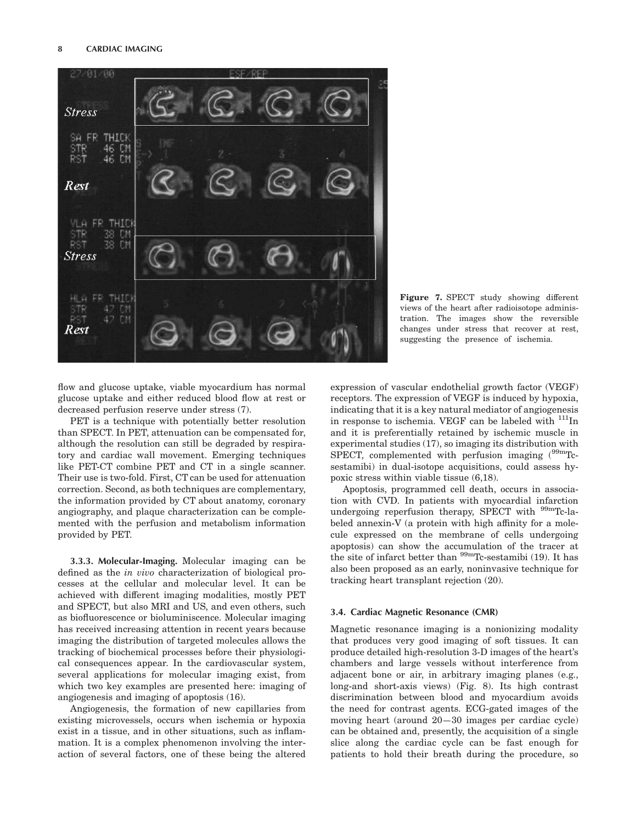

Figure 7. SPECT study showing different views of the heart after radioisotope administration. The images show the reversible changes under stress that recover at rest, suggesting the presence of ischemia.

flow and glucose uptake, viable myocardium has normal glucose uptake and either reduced blood flow at rest or decreased perfusion reserve under stress (7).

PET is a technique with potentially better resolution than SPECT. In PET, attenuation can be compensated for, although the resolution can still be degraded by respiratory and cardiac wall movement. Emerging techniques like PET-CT combine PET and CT in a single scanner. Their use is two-fold. First, CT can be used for attenuation correction. Second, as both techniques are complementary, the information provided by CT about anatomy, coronary angiography, and plaque characterization can be complemented with the perfusion and metabolism information provided by PET.

3.3.3. Molecular-Imaging. Molecular imaging can be defined as the in vivo characterization of biological processes at the cellular and molecular level. It can be achieved with different imaging modalities, mostly PET and SPECT, but also MRI and US, and even others, such as biofluorescence or bioluminiscence. Molecular imaging has received increasing attention in recent years because imaging the distribution of targeted molecules allows the tracking of biochemical processes before their physiological consequences appear. In the cardiovascular system, several applications for molecular imaging exist, from which two key examples are presented here: imaging of angiogenesis and imaging of apoptosis (16).

Angiogenesis, the formation of new capillaries from existing microvessels, occurs when ischemia or hypoxia exist in a tissue, and in other situations, such as inflammation. It is a complex phenomenon involving the interaction of several factors, one of these being the altered expression of vascular endothelial growth factor (VEGF) receptors. The expression of VEGF is induced by hypoxia, indicating that it is a key natural mediator of angiogenesis in response to ischemia. VEGF can be labeled with  $111$ In and it is preferentially retained by ischemic muscle in experimental studies (17), so imaging its distribution with SPECT, complemented with perfusion imaging  $(^{99m}Tc$ sestamibi) in dual-isotope acquisitions, could assess hypoxic stress within viable tissue (6,18).

Apoptosis, programmed cell death, occurs in association with CVD. In patients with myocardial infarction undergoing reperfusion therapy, SPECT with <sup>99m</sup>Tc-labeled annexin-V (a protein with high affinity for a molecule expressed on the membrane of cells undergoing apoptosis) can show the accumulation of the tracer at the site of infarct better than  $^{99m}$ Tc-sestamibi (19). It has also been proposed as an early, noninvasive technique for tracking heart transplant rejection (20).

## 3.4. Cardiac Magnetic Resonance (CMR)

Magnetic resonance imaging is a nonionizing modality that produces very good imaging of soft tissues. It can produce detailed high-resolution 3-D images of the heart's chambers and large vessels without interference from adjacent bone or air, in arbitrary imaging planes (e.g., long-and short-axis views) (Fig. 8). Its high contrast discrimination between blood and myocardium avoids the need for contrast agents. ECG-gated images of the moving heart (around 20—30 images per cardiac cycle) can be obtained and, presently, the acquisition of a single slice along the cardiac cycle can be fast enough for patients to hold their breath during the procedure, so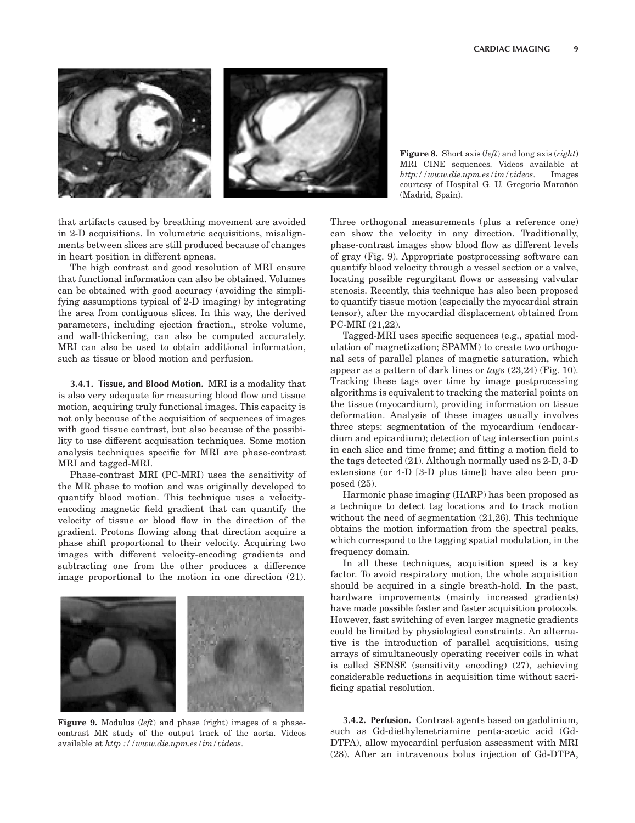

**Figure 8.** Short axis  $(left)$  and long axis  $(right)$ MRI CINE sequences. Videos available at http://www.die.upm.es/im/videos. Images courtesy of Hospital G. U. Gregorio Marañón (Madrid, Spain).

that artifacts caused by breathing movement are avoided in 2-D acquisitions. In volumetric acquisitions, misalignments between slices are still produced because of changes in heart position in different apneas.

The high contrast and good resolution of MRI ensure that functional information can also be obtained. Volumes can be obtained with good accuracy (avoiding the simplifying assumptions typical of 2-D imaging) by integrating the area from contiguous slices. In this way, the derived parameters, including ejection fraction,, stroke volume, and wall-thickening, can also be computed accurately. MRI can also be used to obtain additional information, such as tissue or blood motion and perfusion.

3.4.1. Tissue, and Blood Motion. MRI is a modality that is also very adequate for measuring blood flow and tissue motion, acquiring truly functional images. This capacity is not only because of the acquisition of sequences of images with good tissue contrast, but also because of the possibility to use different acquisation techniques. Some motion analysis techniques specific for MRI are phase-contrast MRI and tagged-MRI.

Phase-contrast MRI (PC-MRI) uses the sensitivity of the MR phase to motion and was originally developed to quantify blood motion. This technique uses a velocityencoding magnetic field gradient that can quantify the velocity of tissue or blood flow in the direction of the gradient. Protons flowing along that direction acquire a phase shift proportional to their velocity. Acquiring two images with different velocity-encoding gradients and subtracting one from the other produces a difference image proportional to the motion in one direction (21).



Figure 9. Modulus (left) and phase (right) images of a phasecontrast MR study of the output track of the aorta. Videos available at http ://www.die.upm.es/im/videos.

Three orthogonal measurements (plus a reference one) can show the velocity in any direction. Traditionally, phase-contrast images show blood flow as different levels of gray (Fig. 9). Appropriate postprocessing software can quantify blood velocity through a vessel section or a valve, locating possible regurgitant flows or assessing valvular stenosis. Recently, this technique has also been proposed to quantify tissue motion (especially the myocardial strain tensor), after the myocardial displacement obtained from PC-MRI (21,22).

Tagged-MRI uses specific sequences (e.g., spatial modulation of magnetization; SPAMM) to create two orthogonal sets of parallel planes of magnetic saturation, which appear as a pattern of dark lines or tags (23,24) (Fig. 10). Tracking these tags over time by image postprocessing algorithms is equivalent to tracking the material points on the tissue (myocardium), providing information on tissue deformation. Analysis of these images usually involves three steps: segmentation of the myocardium (endocardium and epicardium); detection of tag intersection points in each slice and time frame; and fitting a motion field to the tags detected (21). Although normally used as 2-D, 3-D extensions (or 4-D [3-D plus time]) have also been proposed (25).

Harmonic phase imaging (HARP) has been proposed as a technique to detect tag locations and to track motion without the need of segmentation (21,26). This technique obtains the motion information from the spectral peaks, which correspond to the tagging spatial modulation, in the frequency domain.

In all these techniques, acquisition speed is a key factor. To avoid respiratory motion, the whole acquisition should be acquired in a single breath-hold. In the past, hardware improvements (mainly increased gradients) have made possible faster and faster acquisition protocols. However, fast switching of even larger magnetic gradients could be limited by physiological constraints. An alternative is the introduction of parallel acquisitions, using arrays of simultaneously operating receiver coils in what is called SENSE (sensitivity encoding) (27), achieving considerable reductions in acquisition time without sacrificing spatial resolution.

3.4.2. Perfusion. Contrast agents based on gadolinium, such as Gd-diethylenetriamine penta-acetic acid (Gd-DTPA), allow myocardial perfusion assessment with MRI (28). After an intravenous bolus injection of Gd-DTPA,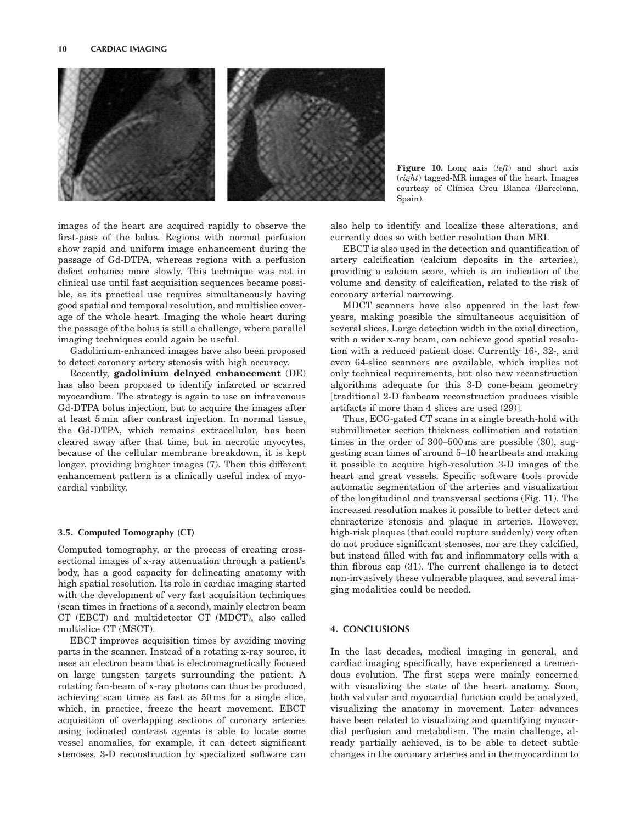

Figure 10. Long axis  $(left)$  and short axis (right) tagged-MR images of the heart. Images courtesy of Clínica Creu Blanca (Barcelona, Spain).

images of the heart are acquired rapidly to observe the first-pass of the bolus. Regions with normal perfusion show rapid and uniform image enhancement during the passage of Gd-DTPA, whereas regions with a perfusion defect enhance more slowly. This technique was not in clinical use until fast acquisition sequences became possible, as its practical use requires simultaneously having good spatial and temporal resolution, and multislice coverage of the whole heart. Imaging the whole heart during the passage of the bolus is still a challenge, where parallel imaging techniques could again be useful.

Gadolinium-enhanced images have also been proposed to detect coronary artery stenosis with high accuracy.

Recently, gadolinium delayed enhancement (DE) has also been proposed to identify infarcted or scarred myocardium. The strategy is again to use an intravenous Gd-DTPA bolus injection, but to acquire the images after at least 5 min after contrast injection. In normal tissue, the Gd-DTPA, which remains extracellular, has been cleared away after that time, but in necrotic myocytes, because of the cellular membrane breakdown, it is kept longer, providing brighter images (7). Then this different enhancement pattern is a clinically useful index of myocardial viability.

#### 3.5. Computed Tomography (CT)

Computed tomography, or the process of creating crosssectional images of x-ray attenuation through a patient's body, has a good capacity for delineating anatomy with high spatial resolution. Its role in cardiac imaging started with the development of very fast acquisition techniques (scan times in fractions of a second), mainly electron beam CT (EBCT) and multidetector CT (MDCT), also called multislice CT (MSCT).

EBCT improves acquisition times by avoiding moving parts in the scanner. Instead of a rotating x-ray source, it uses an electron beam that is electromagnetically focused on large tungsten targets surrounding the patient. A rotating fan-beam of x-ray photons can thus be produced, achieving scan times as fast as 50 ms for a single slice, which, in practice, freeze the heart movement. EBCT acquisition of overlapping sections of coronary arteries using iodinated contrast agents is able to locate some vessel anomalies, for example, it can detect significant stenoses. 3-D reconstruction by specialized software can

also help to identify and localize these alterations, and currently does so with better resolution than MRI.

EBCT is also used in the detection and quantification of artery calcification (calcium deposits in the arteries), providing a calcium score, which is an indication of the volume and density of calcification, related to the risk of coronary arterial narrowing.

MDCT scanners have also appeared in the last few years, making possible the simultaneous acquisition of several slices. Large detection width in the axial direction, with a wider x-ray beam, can achieve good spatial resolution with a reduced patient dose. Currently 16-, 32-, and even 64-slice scanners are available, which implies not only technical requirements, but also new reconstruction algorithms adequate for this 3-D cone-beam geometry [traditional 2-D fanbeam reconstruction produces visible artifacts if more than 4 slices are used (29)].

Thus, ECG-gated CT scans in a single breath-hold with submillimeter section thickness collimation and rotation times in the order of 300–500 ms are possible (30), suggesting scan times of around 5–10 heartbeats and making it possible to acquire high-resolution 3-D images of the heart and great vessels. Specific software tools provide automatic segmentation of the arteries and visualization of the longitudinal and transversal sections (Fig. 11). The increased resolution makes it possible to better detect and characterize stenosis and plaque in arteries. However, high-risk plaques (that could rupture suddenly) very often do not produce significant stenoses, nor are they calcified, but instead filled with fat and inflammatory cells with a thin fibrous cap (31). The current challenge is to detect non-invasively these vulnerable plaques, and several imaging modalities could be needed.

### 4. CONCLUSIONS

In the last decades, medical imaging in general, and cardiac imaging specifically, have experienced a tremendous evolution. The first steps were mainly concerned with visualizing the state of the heart anatomy. Soon, both valvular and myocardial function could be analyzed, visualizing the anatomy in movement. Later advances have been related to visualizing and quantifying myocardial perfusion and metabolism. The main challenge, already partially achieved, is to be able to detect subtle changes in the coronary arteries and in the myocardium to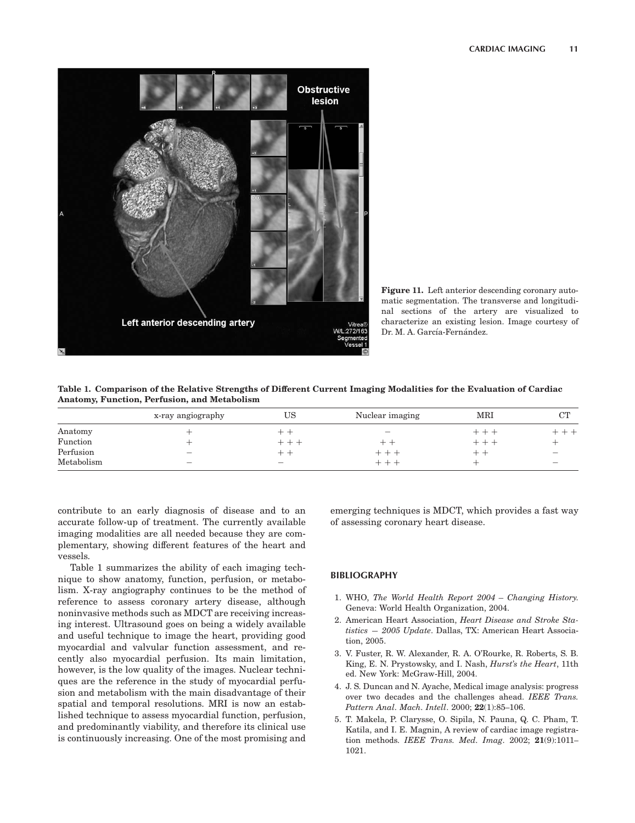

Figure 11. Left anterior descending coronary automatic segmentation. The transverse and longitudinal sections of the artery are visualized to characterize an existing lesion. Image courtesy of Dr. M. A. García-Fernández.

Table 1. Comparison of the Relative Strengths of Different Current Imaging Modalities for the Evaluation of Cardiac Anatomy, Function, Perfusion, and Metabolism

|            | x-ray angiography        | US                       | Nuclear imaging          | MRI   | $\cap$ TT |
|------------|--------------------------|--------------------------|--------------------------|-------|-----------|
| Anatomy    |                          | —                        | $\overline{\phantom{m}}$ | $+ +$ |           |
| Function   |                          | - - -                    |                          | $+ +$ |           |
| Perfusion  |                          | - -                      | --                       | -     |           |
| Metabolism | $\overline{\phantom{0}}$ | $\overline{\phantom{0}}$ | --                       |       |           |

contribute to an early diagnosis of disease and to an accurate follow-up of treatment. The currently available imaging modalities are all needed because they are complementary, showing different features of the heart and vessels.

Table 1 summarizes the ability of each imaging technique to show anatomy, function, perfusion, or metabolism. X-ray angiography continues to be the method of reference to assess coronary artery disease, although noninvasive methods such as MDCT are receiving increasing interest. Ultrasound goes on being a widely available and useful technique to image the heart, providing good myocardial and valvular function assessment, and recently also myocardial perfusion. Its main limitation, however, is the low quality of the images. Nuclear techniques are the reference in the study of myocardial perfusion and metabolism with the main disadvantage of their spatial and temporal resolutions. MRI is now an established technique to assess myocardial function, perfusion, and predominantly viability, and therefore its clinical use is continuously increasing. One of the most promising and emerging techniques is MDCT, which provides a fast way of assessing coronary heart disease.

#### BIBLIOGRAPHY

- 1. WHO, The World Health Report 2004 Changing History. Geneva: World Health Organization, 2004.
- 2. American Heart Association, Heart Disease and Stroke Statistics — 2005 Update. Dallas, TX: American Heart Association, 2005.
- 3. V. Fuster, R. W. Alexander, R. A. O'Rourke, R. Roberts, S. B. King, E. N. Prystowsky, and I. Nash, Hurst's the Heart, 11th ed. New York: McGraw-Hill, 2004.
- 4. J. S. Duncan and N. Ayache, Medical image analysis: progress over two decades and the challenges ahead. IEEE Trans. Pattern Anal. Mach. Intell. 2000; 22(1):85–106.
- 5. T. Makela, P. Clarysse, O. Sipila, N. Pauna, Q. C. Pham, T. Katila, and I. E. Magnin, A review of cardiac image registration methods. IEEE Trans. Med. Imag. 2002; 21(9):1011– 1021.